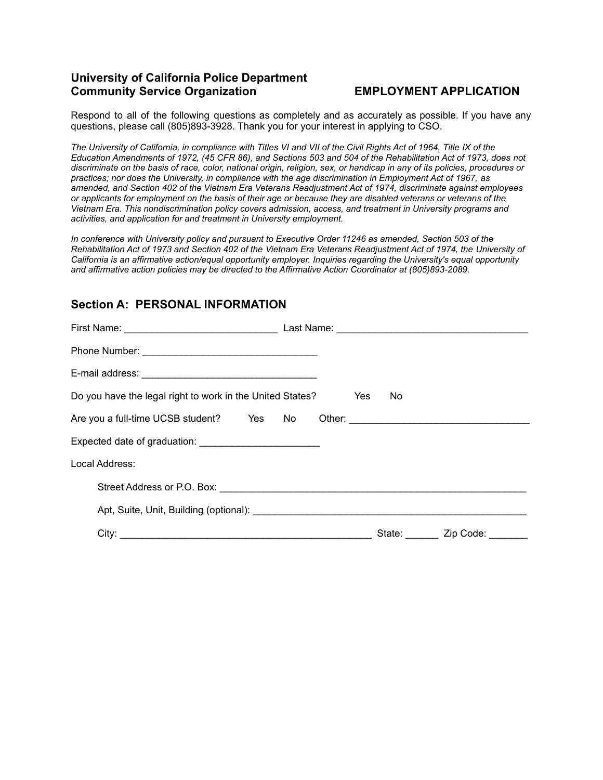## **University of California Police Department Community Service Organization EMPLOYMENT APPLICATION**

Respond to all of the following questions as completely and as accurately as possible. If you have any questions, please call (805)893-3928. Thank you for your interest in applying to CSO.

*The University of California, in compliance with Titles VI and VII of the Civil Rights Act of 1964, Title IX of the Education Amendments of 1972, (45 CFR 86), and Sections 503 and 504 of the Rehabilitation Act of 1973, does not discriminate on the basis of race, color, national origin, religion, sex, or handicap in any of its policies, procedures or practices; nor does the University, in compliance with the age discrimination in Employment Act of 1967, as amended, and Section 402 of the Vietnam Era Veterans Readjustment Act of 1974, discriminate against employees or applicants for employment on the basis of their age or because they are disabled veterans or veterans of the Vietnam Era. This nondiscrimination policy covers admission, access, and treatment in University programs and activities, and application for and treatment in University employment.*

*In conference with University policy and pursuant to Executive Order 11246 as amended, Section 503 of the Rehabilitation Act of 1973 and Section 402 of the Vietnam Era Veterans Readjustment Act of 1974, the University of California is an affirmative action/equal opportunity employer. Inquiries regarding the University's equal opportunity and affirmative action policies may be directed to the Affirmative Action Coordinator at (805)893-2089.*

## **Section A: PERSONAL INFORMATION**

| Do you have the legal right to work in the United States? | Yes | No.    |                   |
|-----------------------------------------------------------|-----|--------|-------------------|
| Are you a full-time UCSB student? Yes No                  |     |        |                   |
|                                                           |     |        |                   |
| Local Address:                                            |     |        |                   |
|                                                           |     |        |                   |
|                                                           |     |        |                   |
|                                                           |     | State: | Zip Code: _______ |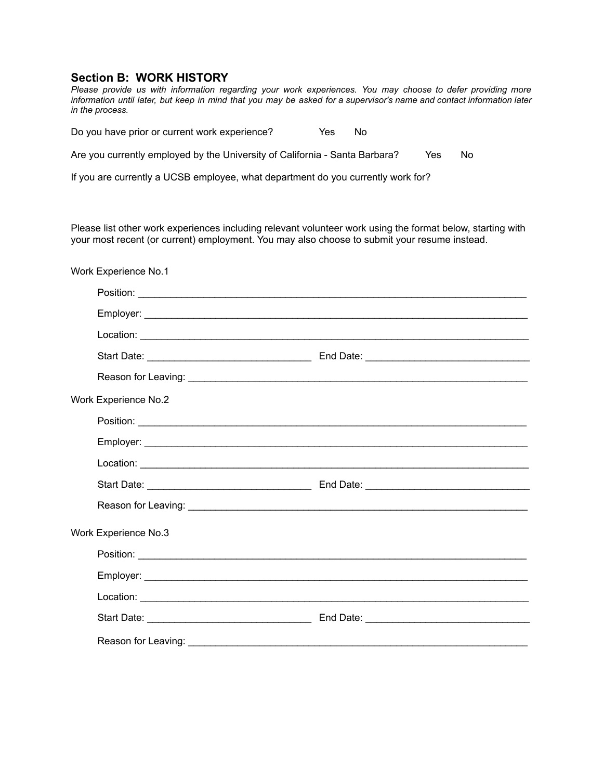### **Section B: WORK HISTORY**

*Please provide us with information regarding your work experiences. You may choose to defer providing more* information until later, but keep in mind that you may be asked for a supervisor's name and contact information later *in the process.*

Do you have prior or current work experience? Yes No

Are you currently employed by the University of California - Santa Barbara? Yes No

If you are currently a UCSB employee, what department do you currently work for?

Please list other work experiences including relevant volunteer work using the format below, starting with your most recent (or current) employment. You may also choose to submit your resume instead.

|                             | Work Experience No.1        |  |  |  |  |
|-----------------------------|-----------------------------|--|--|--|--|
|                             |                             |  |  |  |  |
|                             |                             |  |  |  |  |
|                             |                             |  |  |  |  |
|                             |                             |  |  |  |  |
|                             |                             |  |  |  |  |
| <b>Work Experience No.2</b> |                             |  |  |  |  |
|                             |                             |  |  |  |  |
|                             |                             |  |  |  |  |
|                             |                             |  |  |  |  |
|                             |                             |  |  |  |  |
|                             |                             |  |  |  |  |
|                             | <b>Work Experience No.3</b> |  |  |  |  |
|                             |                             |  |  |  |  |
|                             |                             |  |  |  |  |
|                             |                             |  |  |  |  |
|                             |                             |  |  |  |  |
|                             |                             |  |  |  |  |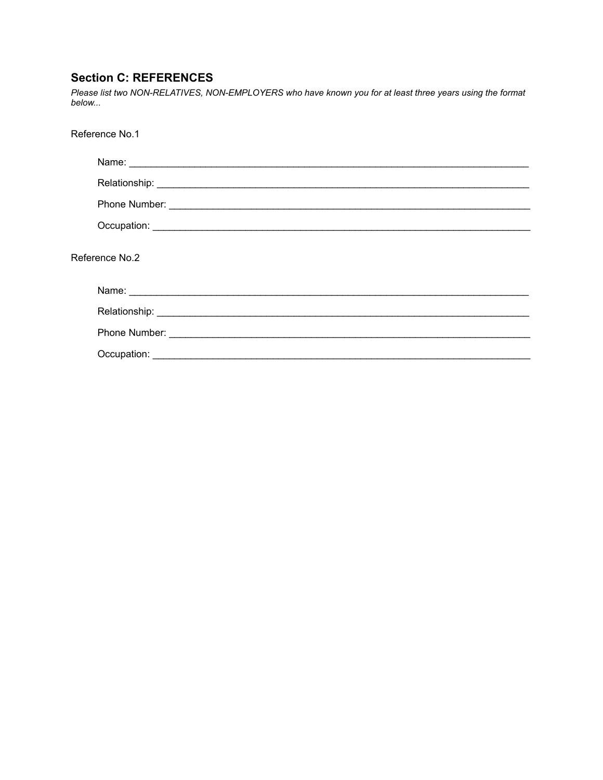# **Section C: REFERENCES**

Please list two NON-RELATIVES, NON-EMPLOYERS who have known you for at least three years using the format below...

| Reference No.1 |  |
|----------------|--|
|                |  |
|                |  |
|                |  |
|                |  |
| Reference No.2 |  |
|                |  |
|                |  |
|                |  |
|                |  |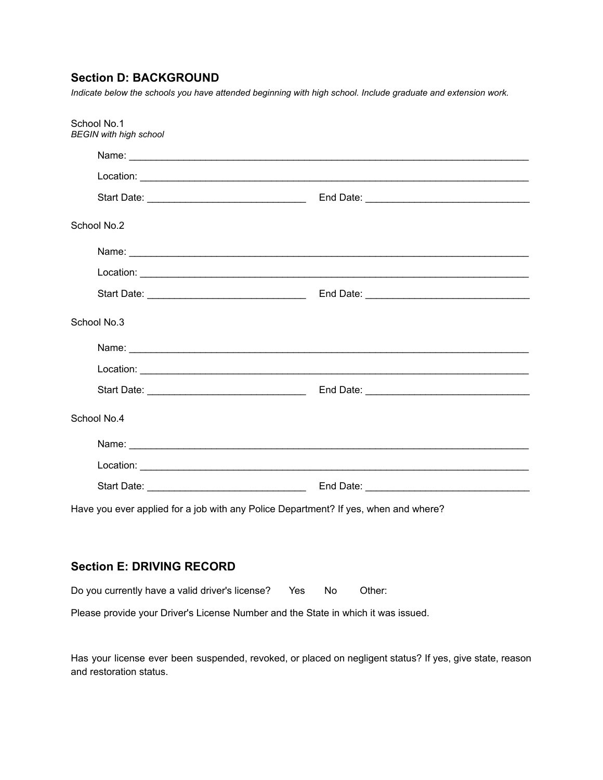# **Section D: BACKGROUND**

*Indicate below the schools you have attended beginning with high school. Include graduate and extension work.*

| School No.1<br><b>BEGIN</b> with high school |                                                                                     |
|----------------------------------------------|-------------------------------------------------------------------------------------|
|                                              |                                                                                     |
|                                              |                                                                                     |
|                                              |                                                                                     |
| School No.2                                  |                                                                                     |
|                                              |                                                                                     |
|                                              |                                                                                     |
|                                              |                                                                                     |
| School No.3                                  |                                                                                     |
|                                              |                                                                                     |
|                                              |                                                                                     |
|                                              |                                                                                     |
| School No.4                                  |                                                                                     |
|                                              |                                                                                     |
|                                              |                                                                                     |
|                                              |                                                                                     |
|                                              | Have you ever applied for a job with any Police Department? If yes, when and where? |

## **Section E: DRIVING RECORD**

| Do you currently have a valid driver's license? | Yes | - No | Other: |
|-------------------------------------------------|-----|------|--------|
|-------------------------------------------------|-----|------|--------|

Please provide your Driver's License Number and the State in which it was issued.

Has your license ever been suspended, revoked, or placed on negligent status? If yes, give state, reason and restoration status.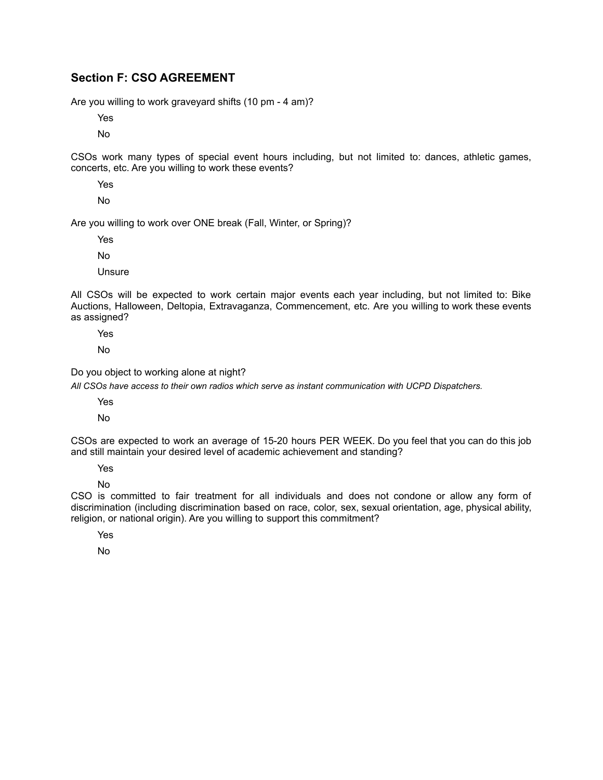## **Section F: CSO AGREEMENT**

Are you willing to work graveyard shifts (10 pm - 4 am)?

Yes

No

CSOs work many types of special event hours including, but not limited to: dances, athletic games, concerts, etc. Are you willing to work these events?

Yes

No

Are you willing to work over ONE break (Fall, Winter, or Spring)?

Yes

No

Unsure

All CSOs will be expected to work certain major events each year including, but not limited to: Bike Auctions, Halloween, Deltopia, Extravaganza, Commencement, etc. Are you willing to work these events as assigned?

Yes

No

Do you object to working alone at night?

*All CSOs have access to their own radios which serve as instant communication with UCPD Dispatchers.*

Yes

No

CSOs are expected to work an average of 15-20 hours PER WEEK. Do you feel that you can do this job and still maintain your desired level of academic achievement and standing?

Yes

No

CSO is committed to fair treatment for all individuals and does not condone or allow any form of discrimination (including discrimination based on race, color, sex, sexual orientation, age, physical ability, religion, or national origin). Are you willing to support this commitment?

Yes

No